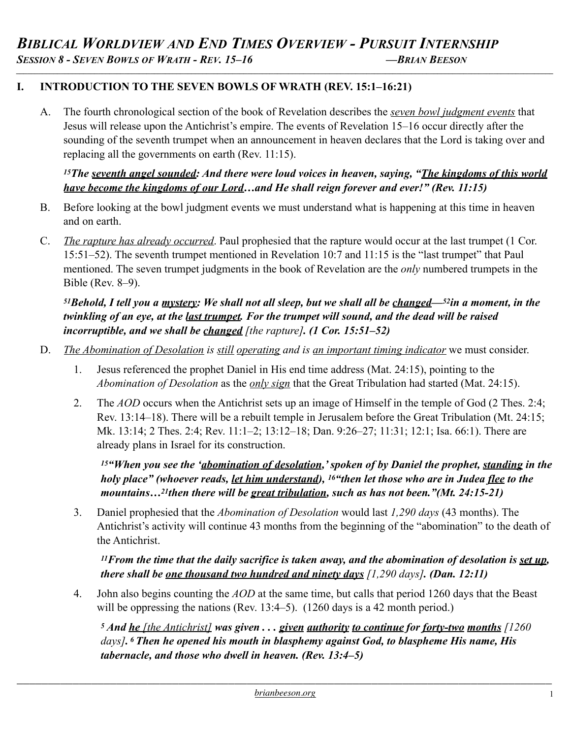#### **I. INTRODUCTION TO THE SEVEN BOWLS OF WRATH (REV. 15:1–16:21)**

A. The fourth chronological section of the book of Revelation describes the *seven bowl judgment events* that Jesus will release upon the Antichrist's empire. The events of Revelation 15–16 occur directly after the sounding of the seventh trumpet when an announcement in heaven declares that the Lord is taking over and replacing all the governments on earth (Rev. 11:15).

#### *15The seventh angel sounded: And there were loud voices in heaven, saying, "The kingdoms of this world have become the kingdoms of our Lord…and He shall reign forever and ever!" (Rev. 11:15)*

- B. Before looking at the bowl judgment events we must understand what is happening at this time in heaven and on earth.
- C. *The rapture has already occurred*. Paul prophesied that the rapture would occur at the last trumpet (1 Cor. 15:51–52). The seventh trumpet mentioned in Revelation 10:7 and 11:15 is the "last trumpet" that Paul mentioned. The seven trumpet judgments in the book of Revelation are the *only* numbered trumpets in the Bible (Rev. 8–9).

#### *51Behold, I tell you a mystery: We shall not all sleep, but we shall all be changed—52in a moment, in the twinkling of an eye, at the last trumpet. For the trumpet will sound, and the dead will be raised incorruptible, and we shall be changed [the rapture]. (1 Cor. 15:51–52)*

- D. *The Abomination of Desolation is still operating and is an important timing indicator* we must consider.
	- 1. Jesus referenced the prophet Daniel in His end time address (Mat. 24:15), pointing to the *Abomination of Desolation* as the *only sign* that the Great Tribulation had started (Mat. 24:15).
	- 2. The *AOD* occurs when the Antichrist sets up an image of Himself in the temple of God (2 Thes. 2:4; Rev. 13:14–18). There will be a rebuilt temple in Jerusalem before the Great Tribulation (Mt. 24:15; Mk. 13:14; 2 Thes. 2:4; Rev. 11:1–2; 13:12–18; Dan. 9:26–27; 11:31; 12:1; Isa. 66:1). There are already plans in Israel for its construction.

*15"When you see the 'abomination of desolation,' spoken of by Daniel the prophet, standing in the holy place" (whoever reads, let him understand), 16"then let those who are in Judea flee to the mountains…21then there will be great tribulation, such as has not been."(Mt. 24:15-21)*

3. Daniel prophesied that the *Abomination of Desolation* would last *1,290 days* (43 months). The Antichrist's activity will continue 43 months from the beginning of the "abomination" to the death of the Antichrist.

*11From the time that the daily sacrifice is taken away, and the abomination of desolation is set up, there shall be one thousand two hundred and ninety days [1,290 days]. (Dan. 12:11)*

4. John also begins counting the *AOD* at the same time, but calls that period 1260 days that the Beast will be oppressing the nations (Rev. 13:4–5). (1260 days is a 42 month period.)

*5 And he [the Antichrist] was given . . . given authority to continue for forty-two months [1260 days]. 6 Then he opened his mouth in blasphemy against God, to blaspheme His name, His tabernacle, and those who dwell in heaven. (Rev. 13:4–5)*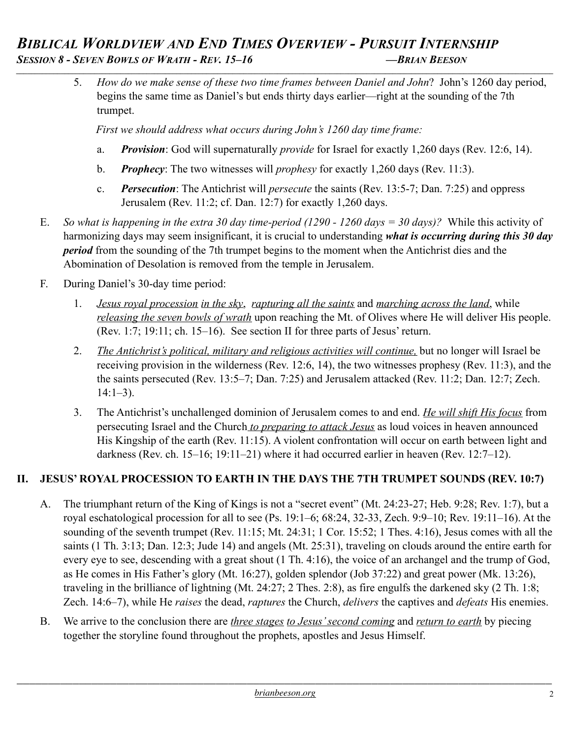5. *How do we make sense of these two time frames between Daniel and John*? John's 1260 day period, begins the same time as Daniel's but ends thirty days earlier—right at the sounding of the 7th trumpet.

 *First we should address what occurs during John's 1260 day time frame:*

- a. *Provision*: God will supernaturally *provide* for Israel for exactly 1,260 days (Rev. 12:6, 14).
- b. *Prophecy*: The two witnesses will *prophesy* for exactly 1,260 days (Rev. 11:3).
- c. *Persecution*: The Antichrist will *persecute* the saints (Rev. 13:5-7; Dan. 7:25) and oppress Jerusalem (Rev. 11:2; cf. Dan. 12:7) for exactly 1,260 days.
- E. *So what is happening in the extra 30 day time-period (1290 1260 days = 30 days)?* While this activity of harmonizing days may seem insignificant, it is crucial to understanding *what is occurring during this 30 day period* from the sounding of the 7th trumpet begins to the moment when the Antichrist dies and the Abomination of Desolation is removed from the temple in Jerusalem.
- F. During Daniel's 30-day time period:
	- 1. *Jesus royal procession in the sky*, *rapturing all the saints* and *marching across the land*, while *releasing the seven bowls of wrath* upon reaching the Mt. of Olives where He will deliver His people. (Rev. 1:7; 19:11; ch. 15–16). See section II for three parts of Jesus' return.
	- 2. *The Antichrist's political, military and religious activities will continue,* but no longer will Israel be receiving provision in the wilderness (Rev. 12:6, 14), the two witnesses prophesy (Rev. 11:3), and the the saints persecuted (Rev. 13:5–7; Dan. 7:25) and Jerusalem attacked (Rev. 11:2; Dan. 12:7; Zech.  $14:1-3$ ).
	- 3. The Antichrist's unchallenged dominion of Jerusalem comes to and end. *He will shift His focus* from persecuting Israel and the Church *to preparing to attack Jesus* as loud voices in heaven announced His Kingship of the earth (Rev. 11:15). A violent confrontation will occur on earth between light and darkness (Rev. ch. 15–16; 19:11–21) where it had occurred earlier in heaven (Rev. 12:7–12).

## **II. JESUS' ROYAL PROCESSION TO EARTH IN THE DAYS THE 7TH TRUMPET SOUNDS (REV. 10:7)**

- A. The triumphant return of the King of Kings is not a "secret event" (Mt. 24:23-27; Heb. 9:28; Rev. 1:7), but a royal eschatological procession for all to see (Ps. 19:1–6; 68:24, 32-33, Zech. 9:9–10; Rev. 19:11–16). At the sounding of the seventh trumpet (Rev. 11:15; Mt. 24:31; 1 Cor. 15:52; 1 Thes. 4:16), Jesus comes with all the saints (1 Th. 3:13; Dan. 12:3; Jude 14) and angels (Mt. 25:31), traveling on clouds around the entire earth for every eye to see, descending with a great shout (1 Th. 4:16), the voice of an archangel and the trump of God, as He comes in His Father's glory (Mt. 16:27), golden splendor (Job 37:22) and great power (Mk. 13:26), traveling in the brilliance of lightning (Mt. 24:27; 2 Thes. 2:8), as fire engulfs the darkened sky (2 Th. 1:8; Zech. 14:6–7), while He *raises* the dead, *raptures* the Church, *delivers* the captives and *defeats* His enemies.
- B. We arrive to the conclusion there are *three stages to Jesus' second coming* and *return to earth* by piecing together the storyline found throughout the prophets, apostles and Jesus Himself.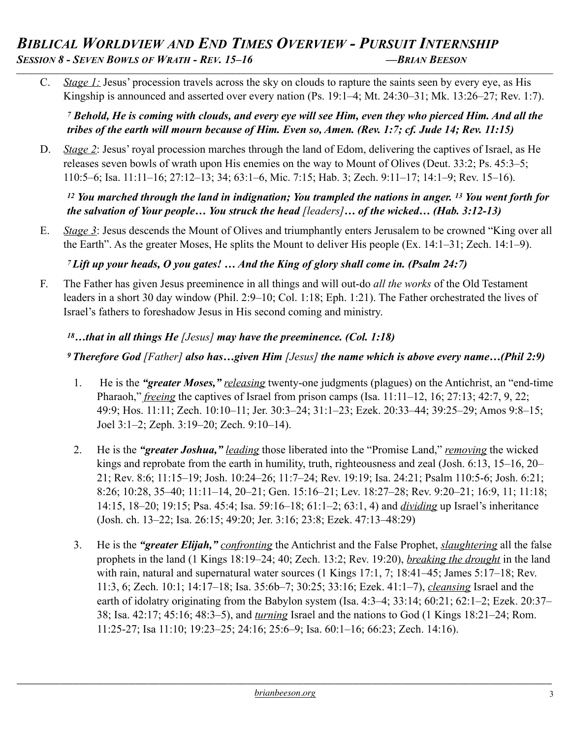C. *Stage 1:* Jesus' procession travels across the sky on clouds to rapture the saints seen by every eye, as His Kingship is announced and asserted over every nation (Ps. 19:1–4; Mt. 24:30–31; Mk. 13:26–27; Rev. 1:7).

*7 Behold, He is coming with clouds, and every eye will see Him, even they who pierced Him. And all the tribes of the earth will mourn because of Him. Even so, Amen. (Rev. 1:7; cf. Jude 14; Rev. 11:15)*

D. *Stage 2*: Jesus' royal procession marches through the land of Edom, delivering the captives of Israel, as He releases seven bowls of wrath upon His enemies on the way to Mount of Olives (Deut. 33:2; Ps. 45:3–5; 110:5–6; Isa. 11:11–16; 27:12–13; 34; 63:1–6, Mic. 7:15; Hab. 3; Zech. 9:11–17; 14:1–9; Rev. 15–16).

*12 You marched through the land in indignation; You trampled the nations in anger. 13 You went forth for the salvation of Your people… You struck the head [leaders]… of the wicked… (Hab. 3:12-13)* 

E. *Stage 3*: Jesus descends the Mount of Olives and triumphantly enters Jerusalem to be crowned "King over all the Earth". As the greater Moses, He splits the Mount to deliver His people (Ex. 14:1–31; Zech. 14:1–9).

*7 Lift up your heads, O you gates! … And the King of glory shall come in. (Psalm 24:7)*

F. The Father has given Jesus preeminence in all things and will out-do *all the works* of the Old Testament leaders in a short 30 day window (Phil. 2:9–10; Col. 1:18; Eph. 1:21). The Father orchestrated the lives of Israel's fathers to foreshadow Jesus in His second coming and ministry.

## *<sup>18</sup>…that in all things He [Jesus] may have the preeminence. (Col. 1:18)*

## *9 Therefore God [Father] also has…given Him [Jesus] the name which is above every name…(Phil 2:9)*

- 1. He is the *"greater Moses," releasing* twenty-one judgments (plagues) on the Antichrist, an "end-time Pharaoh," *freeing* the captives of Israel from prison camps (Isa. 11:11–12, 16; 27:13; 42:7, 9, 22; 49:9; Hos. 11:11; Zech. 10:10–11; Jer. 30:3–24; 31:1–23; Ezek. 20:33–44; 39:25–29; Amos 9:8–15; Joel 3:1–2; Zeph. 3:19–20; Zech. 9:10–14).
- 2. He is the *"greater Joshua," leading* those liberated into the "Promise Land," *removing* the wicked kings and reprobate from the earth in humility, truth, righteousness and zeal (Josh. 6:13, 15–16, 20– 21; Rev. 8:6; 11:15–19; Josh. 10:24–26; 11:7–24; Rev. 19:19; Isa. 24:21; Psalm 110:5-6; Josh. 6:21; 8:26; 10:28, 35–40; 11:11–14, 20–21; Gen. 15:16–21; Lev. 18:27–28; Rev. 9:20–21; 16:9, 11; 11:18; 14:15, 18–20; 19:15; Psa. 45:4; Isa. 59:16–18; 61:1–2; 63:1, 4) and *dividing* up Israel's inheritance (Josh. ch. 13–22; Isa. 26:15; 49:20; Jer. 3:16; 23:8; Ezek. 47:13–48:29)
- 3. He is the *"greater Elijah," confronting* the Antichrist and the False Prophet, *slaughtering* all the false prophets in the land (1 Kings 18:19–24; 40; Zech. 13:2; Rev. 19:20), *breaking the drought* in the land with rain, natural and supernatural water sources (1 Kings 17:1, 7; 18:41–45; James 5:17–18; Rev. 11:3, 6; Zech. 10:1; 14:17–18; Isa. 35:6b–7; 30:25; 33:16; Ezek. 41:1–7), *cleansing* Israel and the earth of idolatry originating from the Babylon system (Isa. 4:3–4; 33:14; 60:21; 62:1–2; Ezek. 20:37– 38; Isa. 42:17; 45:16; 48:3–5), and *turning* Israel and the nations to God (1 Kings 18:21–24; Rom. 11:25-27; Isa 11:10; 19:23–25; 24:16; 25:6–9; Isa. 60:1–16; 66:23; Zech. 14:16).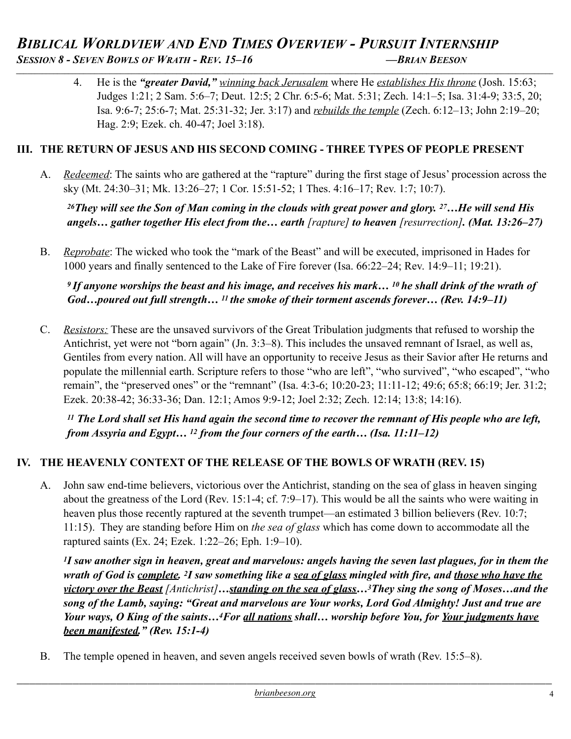4. He is the *"greater David," winning back Jerusalem* where He *establishes His throne* (Josh. 15:63; Judges 1:21; 2 Sam. 5:6–7; Deut. 12:5; 2 Chr. 6:5-6; Mat. 5:31; Zech. 14:1–5; Isa. 31:4-9; 33:5, 20; Isa. 9:6-7; 25:6-7; Mat. 25:31-32; Jer. 3:17) and *rebuilds the temple* (Zech. 6:12–13; John 2:19–20; Hag. 2:9; Ezek. ch. 40-47; Joel 3:18).

### **III. THE RETURN OF JESUS AND HIS SECOND COMING - THREE TYPES OF PEOPLE PRESENT**

A. *Redeemed*: The saints who are gathered at the "rapture" during the first stage of Jesus' procession across the sky (Mt. 24:30–31; Mk. 13:26–27; 1 Cor. 15:51-52; 1 Thes. 4:16–17; Rev. 1:7; 10:7).

*26They will see the Son of Man coming in the clouds with great power and glory. 27…He will send His angels… gather together His elect from the… earth [rapture] to heaven [resurrection]. (Mat. 13:26–27)* 

B. *Reprobate*: The wicked who took the "mark of the Beast" and will be executed, imprisoned in Hades for 1000 years and finally sentenced to the Lake of Fire forever (Isa. 66:22–24; Rev. 14:9–11; 19:21).

*9 If anyone worships the beast and his image, and receives his mark… 10 he shall drink of the wrath of God…poured out full strength… 11 the smoke of their torment ascends forever… (Rev. 14:9–11)* 

C. *Resistors:* These are the unsaved survivors of the Great Tribulation judgments that refused to worship the Antichrist, yet were not "born again" (Jn. 3:3–8). This includes the unsaved remnant of Israel, as well as, Gentiles from every nation. All will have an opportunity to receive Jesus as their Savior after He returns and populate the millennial earth. Scripture refers to those "who are left", "who survived", "who escaped", "who remain", the "preserved ones" or the "remnant" (Isa. 4:3-6; 10:20-23; 11:11-12; 49:6; 65:8; 66:19; Jer. 31:2; Ezek. 20:38-42; 36:33-36; Dan. 12:1; Amos 9:9-12; Joel 2:32; Zech. 12:14; 13:8; 14:16).

*11 The Lord shall set His hand again the second time to recover the remnant of His people who are left, from Assyria and Egypt… 12 from the four corners of the earth… (Isa. 11:11–12)* 

## **IV. THE HEAVENLY CONTEXT OF THE RELEASE OF THE BOWLS OF WRATH (REV. 15)**

A. John saw end-time believers, victorious over the Antichrist, standing on the sea of glass in heaven singing about the greatness of the Lord (Rev. 15:1-4; cf. 7:9–17). This would be all the saints who were waiting in heaven plus those recently raptured at the seventh trumpet—an estimated 3 billion believers (Rev. 10:7; 11:15). They are standing before Him on *the sea of glass* which has come down to accommodate all the raptured saints (Ex. 24; Ezek. 1:22–26; Eph. 1:9–10).

*1I saw another sign in heaven, great and marvelous: angels having the seven last plagues, for in them the wrath of God is complete. 2I saw something like a sea of glass mingled with fire, and those who have the victory over the Beast [Antichrist]…standing on the sea of glass…3They sing the song of Moses…and the song of the Lamb, saying: "Great and marvelous are Your works, Lord God Almighty! Just and true are Your ways, O King of the saints…4For all nations shall… worship before You, for Your judgments have been manifested." (Rev. 15:1-4)* 

B. The temple opened in heaven, and seven angels received seven bowls of wrath (Rev. 15:5–8).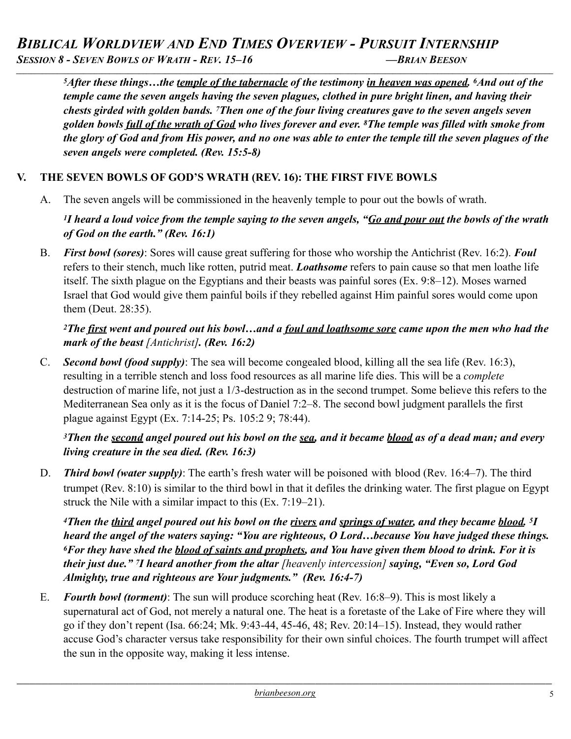*5After these things…the temple of the tabernacle of the testimony in heaven was opened. 6And out of the temple came the seven angels having the seven plagues, clothed in pure bright linen, and having their chests girded with golden bands. 7Then one of the four living creatures gave to the seven angels seven golden bowls full of the wrath of God who lives forever and ever. 8The temple was filled with smoke from the glory of God and from His power, and no one was able to enter the temple till the seven plagues of the seven angels were completed. (Rev. 15:5-8)* 

## **V. THE SEVEN BOWLS OF GOD'S WRATH (REV. 16): THE FIRST FIVE BOWLS**

A. The seven angels will be commissioned in the heavenly temple to pour out the bowls of wrath.

#### *1I heard a loud voice from the temple saying to the seven angels, "Go and pour out the bowls of the wrath of God on the earth." (Rev. 16:1)*

B. *First bowl (sores)*: Sores will cause great suffering for those who worship the Antichrist (Rev. 16:2). *Foul*  refers to their stench, much like rotten, putrid meat. *Loathsome* refers to pain cause so that men loathe life itself. The sixth plague on the Egyptians and their beasts was painful sores (Ex. 9:8–12). Moses warned Israel that God would give them painful boils if they rebelled against Him painful sores would come upon them (Deut. 28:35).

#### *2The first went and poured out his bowl…and a foul and loathsome sore came upon the men who had the mark of the beast [Antichrist]. (Rev. 16:2)*

C. *Second bowl (food supply)*: The sea will become congealed blood, killing all the sea life (Rev. 16:3), resulting in a terrible stench and loss food resources as all marine life dies. This will be a *complete* destruction of marine life, not just a 1/3-destruction as in the second trumpet. Some believe this refers to the Mediterranean Sea only as it is the focus of Daniel 7:2–8. The second bowl judgment parallels the first plague against Egypt (Ex. 7:14-25; Ps. 105:2 9; 78:44).

### *3Then the second angel poured out his bowl on the sea, and it became blood as of a dead man; and every living creature in the sea died. (Rev. 16:3)*

D. *Third bowl (water supply)*: The earth's fresh water will be poisoned with blood (Rev. 16:4–7). The third trumpet (Rev. 8:10) is similar to the third bowl in that it defiles the drinking water. The first plague on Egypt struck the Nile with a similar impact to this (Ex. 7:19–21).

*4Then the third angel poured out his bowl on the rivers and springs of water, and they became blood. 5I heard the angel of the waters saying: "You are righteous, O Lord…because You have judged these things. 6For they have shed the blood of saints and prophets, and You have given them blood to drink. For it is their just due." 7I heard another from the altar [heavenly intercession] saying, "Even so, Lord God Almighty, true and righteous are Your judgments." (Rev. 16:4-7)* 

E. *Fourth bowl (torment)*: The sun will produce scorching heat (Rev. 16:8–9). This is most likely a supernatural act of God, not merely a natural one. The heat is a foretaste of the Lake of Fire where they will go if they don't repent (Isa. 66:24; Mk. 9:43-44, 45-46, 48; Rev. 20:14–15). Instead, they would rather accuse God's character versus take responsibility for their own sinful choices. The fourth trumpet will affect the sun in the opposite way, making it less intense.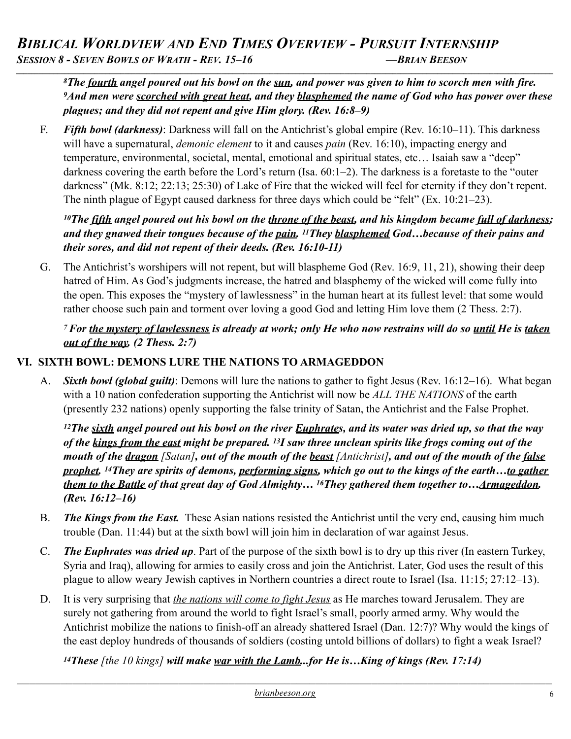*8The fourth angel poured out his bowl on the sun, and power was given to him to scorch men with fire. 9And men were scorched with great heat, and they blasphemed the name of God who has power over these plagues; and they did not repent and give Him glory. (Rev. 16:8–9)* 

F. *Fifth bowl (darkness)*: Darkness will fall on the Antichrist's global empire (Rev. 16:10–11). This darkness will have a supernatural, *demonic element* to it and causes *pain* (Rev. 16:10), impacting energy and temperature, environmental, societal, mental, emotional and spiritual states, etc… Isaiah saw a "deep" darkness covering the earth before the Lord's return (Isa. 60:1–2). The darkness is a foretaste to the "outer darkness" (Mk. 8:12; 22:13; 25:30) of Lake of Fire that the wicked will feel for eternity if they don't repent. The ninth plague of Egypt caused darkness for three days which could be "felt" (Ex. 10:21–23).

### *10The fifth angel poured out his bowl on the throne of the beast, and his kingdom became full of darkness; and they gnawed their tongues because of the pain. 11They blasphemed God…because of their pains and their sores, and did not repent of their deeds. (Rev. 16:10-11)*

G. The Antichrist's worshipers will not repent, but will blaspheme God (Rev. 16:9, 11, 21), showing their deep hatred of Him. As God's judgments increase, the hatred and blasphemy of the wicked will come fully into the open. This exposes the "mystery of lawlessness" in the human heart at its fullest level: that some would rather choose such pain and torment over loving a good God and letting Him love them (2 Thess. 2:7).

#### *7 For the mystery of lawlessness is already at work; only He who now restrains will do so until He is taken out of the way. (2 Thess. 2:7)*

## **VI. SIXTH BOWL: DEMONS LURE THE NATIONS TO ARMAGEDDON**

A. *Sixth bowl (global guilt)*: Demons will lure the nations to gather to fight Jesus (Rev. 16:12–16). What began with a 10 nation confederation supporting the Antichrist will now be *ALL THE NATIONS* of the earth (presently 232 nations) openly supporting the false trinity of Satan, the Antichrist and the False Prophet.

*12The sixth angel poured out his bowl on the river Euphrates, and its water was dried up, so that the way of the kings from the east might be prepared. 13I saw three unclean spirits like frogs coming out of the mouth of the dragon [Satan], out of the mouth of the beast [Antichrist], and out of the mouth of the false prophet. 14They are spirits of demons, performing signs, which go out to the kings of the earth…to gather them to the Battle of that great day of God Almighty… 16They gathered them together to…Armageddon. (Rev. 16:12–16)*

- B. *The Kings from the East.* These Asian nations resisted the Antichrist until the very end, causing him much trouble (Dan. 11:44) but at the sixth bowl will join him in declaration of war against Jesus.
- C. *The Euphrates was dried up*. Part of the purpose of the sixth bowl is to dry up this river (In eastern Turkey, Syria and Iraq), allowing for armies to easily cross and join the Antichrist. Later, God uses the result of this plague to allow weary Jewish captives in Northern countries a direct route to Israel (Isa. 11:15; 27:12–13).
- D. It is very surprising that *the nations will come to fight Jesus* as He marches toward Jerusalem. They are surely not gathering from around the world to fight Israel's small, poorly armed army. Why would the Antichrist mobilize the nations to finish-off an already shattered Israel (Dan. 12:7)? Why would the kings of the east deploy hundreds of thousands of soldiers (costing untold billions of dollars) to fight a weak Israel?

*14These [the 10 kings] will make war with the Lamb...for He is…King of kings (Rev. 17:14)*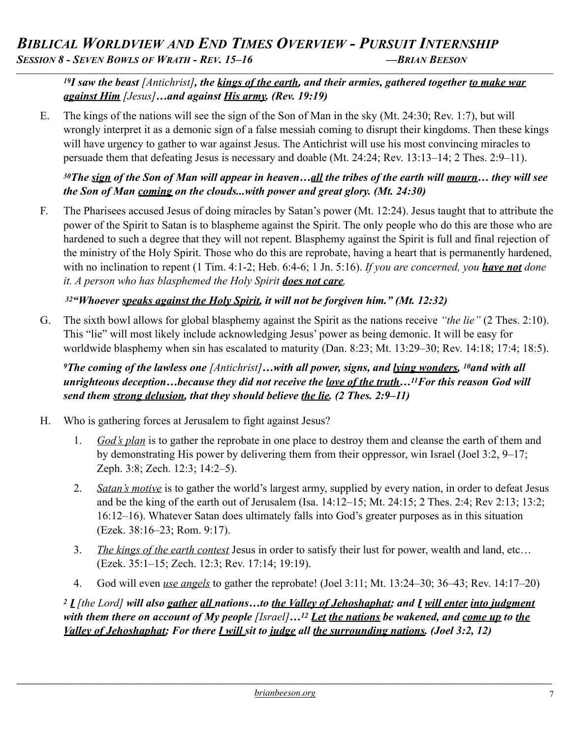#### *19I saw the beast [Antichrist], the kings of the earth, and their armies, gathered together to make war against Him [Jesus]…and against His army. (Rev. 19:19)*

E. The kings of the nations will see the sign of the Son of Man in the sky (Mt. 24:30; Rev. 1:7), but will wrongly interpret it as a demonic sign of a false messiah coming to disrupt their kingdoms. Then these kings will have urgency to gather to war against Jesus. The Antichrist will use his most convincing miracles to persuade them that defeating Jesus is necessary and doable (Mt. 24:24; Rev. 13:13–14; 2 Thes. 2:9–11).

## *30The sign of the Son of Man will appear in heaven…all the tribes of the earth will mourn… they will see the Son of Man coming on the clouds...with power and great glory. (Mt. 24:30)*

F. The Pharisees accused Jesus of doing miracles by Satan's power (Mt. 12:24). Jesus taught that to attribute the power of the Spirit to Satan is to blaspheme against the Spirit. The only people who do this are those who are hardened to such a degree that they will not repent. Blasphemy against the Spirit is full and final rejection of the ministry of the Holy Spirit. Those who do this are reprobate, having a heart that is permanently hardened, with no inclination to repent (1 Tim. 4:1-2; Heb. 6:4-6; 1 Jn. 5:16). *If you are concerned, you have not done it. A person who has blasphemed the Holy Spirit does not care.* 

### *32"Whoever speaks against the Holy Spirit, it will not be forgiven him." (Mt. 12:32)*

G. The sixth bowl allows for global blasphemy against the Spirit as the nations receive *"the lie"* (2 Thes. 2:10). This "lie" will most likely include acknowledging Jesus' power as being demonic. It will be easy for worldwide blasphemy when sin has escalated to maturity (Dan. 8:23; Mt. 13:29–30; Rev. 14:18; 17:4; 18:5).

*9The coming of the lawless one [Antichrist]…with all power, signs, and lying wonders, 10and with all unrighteous deception…because they did not receive the love of the truth…11For this reason God will send them strong delusion, that they should believe the lie. (2 Thes. 2:9–11)* 

- H. Who is gathering forces at Jerusalem to fight against Jesus?
	- 1. *God's plan* is to gather the reprobate in one place to destroy them and cleanse the earth of them and by demonstrating His power by delivering them from their oppressor, win Israel (Joel 3:2, 9–17; Zeph. 3:8; Zech. 12:3; 14:2–5).
	- 2. *Satan's motive* is to gather the world's largest army, supplied by every nation, in order to defeat Jesus and be the king of the earth out of Jerusalem (Isa. 14:12–15; Mt. 24:15; 2 Thes. 2:4; Rev 2:13; 13:2; 16:12–16). Whatever Satan does ultimately falls into God's greater purposes as in this situation (Ezek. 38:16–23; Rom. 9:17).
	- 3. *The kings of the earth contest* Jesus in order to satisfy their lust for power, wealth and land, etc… (Ezek. 35:1–15; Zech. 12:3; Rev. 17:14; 19:19).
	- 4. God will even *use angels* to gather the reprobate! (Joel 3:11; Mt. 13:24–30; 36–43; Rev. 14:17–20)

*<sup>2</sup> I [the Lord] will also gather all nations…to the Valley of Jehoshaphat; and I will enter into judgment with them there on account of My people [Israel]…12 Let the nations be wakened, and come up to the Valley of Jehoshaphat; For there I will sit to judge all the surrounding nations. (Joel 3:2, 12)*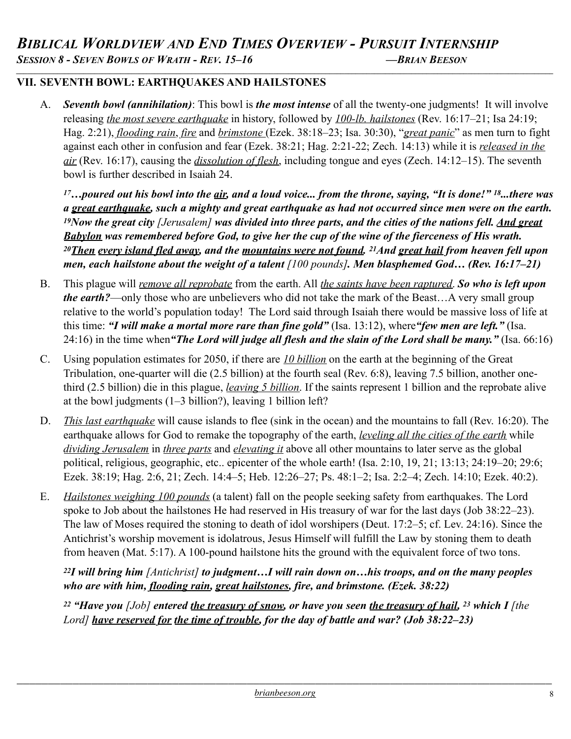### **VII. SEVENTH BOWL: EARTHQUAKES AND HAILSTONES**

A. *Seventh bowl (annihilation)*: This bowl is *the most intense* of all the twenty-one judgments! It will involve releasing *the most severe earthquake* in history, followed by *100-lb. hailstones* (Rev. 16:17–21; Isa 24:19; Hag. 2:21), *flooding rain*, *fire* and *brimstone* (Ezek. 38:18–23; Isa. 30:30), "*great panic*" as men turn to fight against each other in confusion and fear (Ezek. 38:21; Hag. 2:21-22; Zech. 14:13) while it is *released in the air* (Rev. 16:17), causing the *dissolution of flesh*, including tongue and eyes (Zech. 14:12–15). The seventh bowl is further described in Isaiah 24.

*17…poured out his bowl into the air, and a loud voice... from the throne, saying, "It is done!" 18...there was a great earthquake, such a mighty and great earthquake as had not occurred since men were on the earth. 19Now the great city [Jerusalem] was divided into three parts, and the cities of the nations fell. And great Babylon was remembered before God, to give her the cup of the wine of the fierceness of His wrath. 20Then every island fled away, and the mountains were not found. 21And great hail from heaven fell upon men, each hailstone about the weight of a talent [100 pounds]. Men blasphemed God… (Rev. 16:17–21)*

- B. This plague will *remove all reprobate* from the earth. All *the saints have been raptured*. *So who is left upon the earth?*—only those who are unbelievers who did not take the mark of the Beast…A very small group relative to the world's population today! The Lord said through Isaiah there would be massive loss of life at this time: *"I will make a mortal more rare than fine gold"* (Isa. 13:12), where*"few men are left."* (Isa. 24:16) in the time when*"The Lord will judge all flesh and the slain of the Lord shall be many."* (Isa. 66:16)
- C. Using population estimates for 2050, if there are *10 billion* on the earth at the beginning of the Great Tribulation, one-quarter will die (2.5 billion) at the fourth seal (Rev. 6:8), leaving 7.5 billion, another onethird (2.5 billion) die in this plague, *leaving 5 billion*. If the saints represent 1 billion and the reprobate alive at the bowl judgments (1–3 billion?), leaving 1 billion left?
- D. *This last earthquake* will cause islands to flee (sink in the ocean) and the mountains to fall (Rev. 16:20). The earthquake allows for God to remake the topography of the earth, *leveling all the cities of the earth* while *dividing Jerusalem* in *three parts* and *elevating it* above all other mountains to later serve as the global political, religious, geographic, etc.. epicenter of the whole earth! (Isa. 2:10, 19, 21; 13:13; 24:19–20; 29:6; Ezek. 38:19; Hag. 2:6, 21; Zech. 14:4–5; Heb. 12:26–27; Ps. 48:1–2; Isa. 2:2–4; Zech. 14:10; Ezek. 40:2).
- E. *Hailstones weighing 100 pounds* (a talent) fall on the people seeking safety from earthquakes. The Lord spoke to Job about the hailstones He had reserved in His treasury of war for the last days (Job 38:22–23). The law of Moses required the stoning to death of idol worshipers (Deut. 17:2–5; cf. Lev. 24:16). Since the Antichrist's worship movement is idolatrous, Jesus Himself will fulfill the Law by stoning them to death from heaven (Mat. 5:17). A 100-pound hailstone hits the ground with the equivalent force of two tons.

*22I will bring him [Antichrist] to judgment…I will rain down on…his troops, and on the many peoples who are with him, flooding rain, great hailstones, fire, and brimstone. (Ezek. 38:22)* 

<sup>22</sup> "Have you *[Job]* entered the treasury of snow, or have you seen the treasury of hail, <sup>23</sup> which I *[the Lord] have reserved for the time of trouble, for the day of battle and war? (Job 38:22–23)*